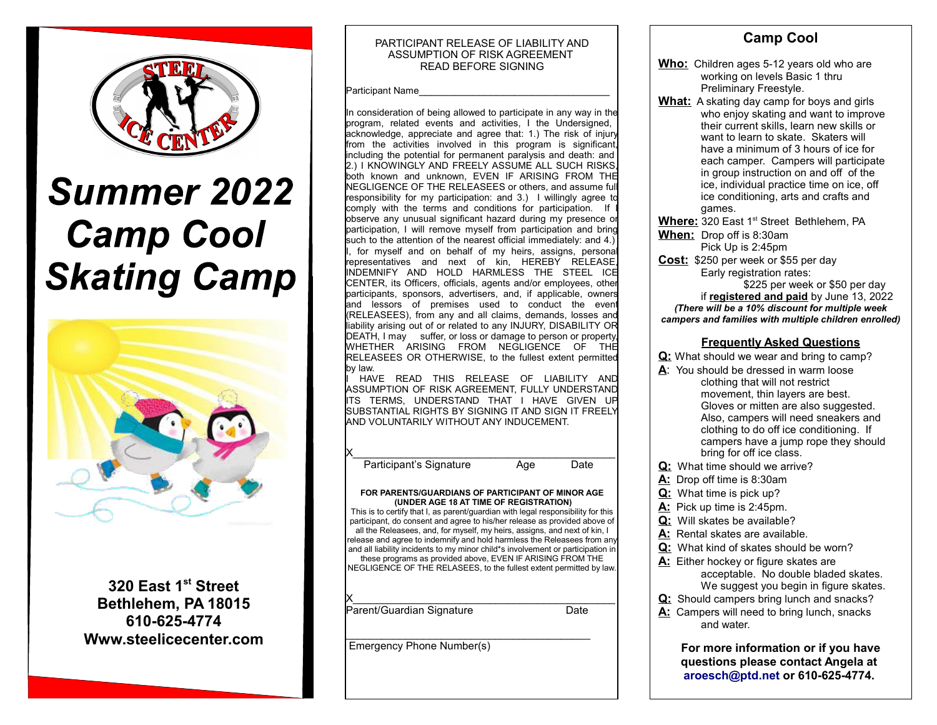

# **Summer 2022 Camp Cool<br>Skating Camp**



**320 East 1st Street Bethlehem, PA 18015 610-625-4774 Www.steelicecenter.com**

#### PARTICIPANT RELEASE OF LIABILITY AND ASSUMPTION OF RISK AGREEMENT READ BEFORE SIGNING

 $\mathbb P$ articipant Name

In consideration of being allowed to participate in any way in the  $\,$  program, related events and activities. I the Undersigned, acknowledge, appreciate and agree that: 1.) The risk of injury from the activities involved in this program is significant, including the potential for permanent paralysis and death: and 2.) I KNOWINGLY AND FREELY ASSUME ALL SUCH RISKS, both known and unknown, EVEN IF ARISING FROM THE NEGLIGENCE OF THE RELEASEES or others, and assume full responsibility for my participation: and 3.) I willingly agree to comply with the terms and conditions for participation. If observe any unusual significant hazard during my presence or participation, I will remove myself from participation and bring such to the attention of the nearest official immediately: and 4.) for myself and on behalf of my heirs, assigns, personal representatives and next of kin, HEREBY RELEASE, INDEMNIFY AND HOLD HARMLESS THE STEEL ICE CENTER, its Officers, officials, agents and/or employees, other participants, sponsors, advertisers, and, if applicable, owners and lessors of premises used to conduct the event (RELEASEES), from any and all claims, demands, losses and liability arising out of or related to any INJURY, DISABILITY OR DEATH, I may suffer, or loss or damage to person or property, WHETHER ARISING FROM NEGLIGENCE OF THE RELEASEES OR OTHERWISE, to the fullest extent permitted by law.

I HAVE READ THIS RELEASE OF LIABILITY AND ASSUMPTION OF RISK AGREEMENT, FULLY UNDERSTAND ITS TERMS, UNDERSTAND THAT I HAVE GIVEN UP SUBSTANTIAL RIGHTS BY SIGNING IT AND SIGN IT FREELY AND VOLUNTARILY WITHOUT ANY INDUCEMENT.

Participant's Signature Age Date

#### **FOR PARENTS/GUARDIANS OF PARTICIPANT OF MINOR AGE (UNDER AGE 18 AT TIME OF REGISTRATION)**

 $X_\perp$  , we have the set of the set of the set of the set of the set of the set of the set of the set of the set of the set of the set of the set of the set of the set of the set of the set of the set of the set of the se

This is to certify that I, as parent/guardian with legal responsibility for this participant, do consent and agree to his/her release as provided above of all the Releasees, and, for myself, my heirs, assigns, and next of kin, I release and agree to indemnify and hold harmless the Releasees from any and all liability incidents to my minor child\*s involvement or participation in these programs as provided above, EVEN IF ARISING FROM THE NEGLIGENCE OF THE RELASEES, to the fullest extent permitted by law.

 $X_\perp$  , we have the set of the set of the set of the set of the set of the set of the set of the set of the set of the set of the set of the set of the set of the set of the set of the set of the set of the set of the se Parent/Guardian Signature **Date** Date

 $\mathcal{L}_\text{max}$  and  $\mathcal{L}_\text{max}$  and  $\mathcal{L}_\text{max}$  and  $\mathcal{L}_\text{max}$ Emergency Phone Number(s)

#### **Camp Cool Who:** Children ages 5-12 years old who are working on levels Basic 1 thru Preliminary Freestyle. **What:** A skating day camp for boys and girls who enjoy skating and want to improve their current skills, learn new skills or want to learn to skate. Skaters will have a minimum of 3 hours of ice for each camper. Campers will participate in group instruction on and off of the ice, individual practice time on ice, off ice conditioning, arts and crafts and

games. **Where:** 320 East 1<sup>st</sup> Street Bethlehem, PA **When:** Drop off is 8:30am

Pick Up is 2:45pm

**Cost:** \$250 per week or \$55 per day Early registration rates:

\$225 per week or \$50 per day if **registered and paid** by June 13, 2022 *(There will be a 10% discount for multiple week campers and families with multiple children enrolled)*

### **Frequently Asked Questions**

**Q:** What should we wear and bring to camp?

- A: You should be dressed in warm loose clothing that will not restrict movement, thin layers are best. Gloves or mitten are also suggested. Also, campers will need sneakers and clothing to do off ice conditioning. If campers have a jump rope they should bring for off ice class.
- **Q:** What time should we arrive?
- **A:** Drop off time is 8:30am
- **Q:** What time is pick up?
- **A:** Pick up time is 2:45pm.
- **Q:** Will skates be available?
- **A:** Rental skates are available.
- **Q:** What kind of skates should be worn?
- **A:** Either hockey or figure skates are acceptable. No double bladed skates. We suggest you begin in figure skates.
- **Q:** Should campers bring lunch and snacks?
- **A:** Campers will need to bring lunch, snacks and water.

**For more information or if you have questions please contact Angela at [aroesch@ptd.net](mailto:aroesch@ptd.net) or 610-625-4774.**